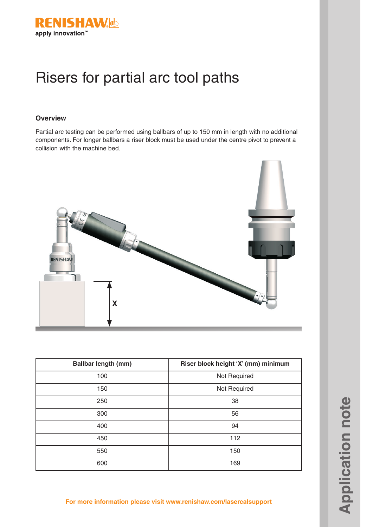

# Risers for partial arc tool paths

### **Overview**

Partial arc testing can be performed using ballbars of up to 150 mm in length with no additional components. For longer ballbars a riser block must be used under the centre pivot to prevent a collision with the machine bed.



| <b>Ballbar length (mm)</b> | Riser block height 'X' (mm) minimum |
|----------------------------|-------------------------------------|
| 100                        | Not Required                        |
| 150                        | Not Required                        |
| 250                        | 38                                  |
| 300                        | 56                                  |
| 400                        | 94                                  |
| 450                        | 112                                 |
| 550                        | 150                                 |
| 600                        | 169                                 |

**For more information please visit www.renishaw.com/lasercalsupport**